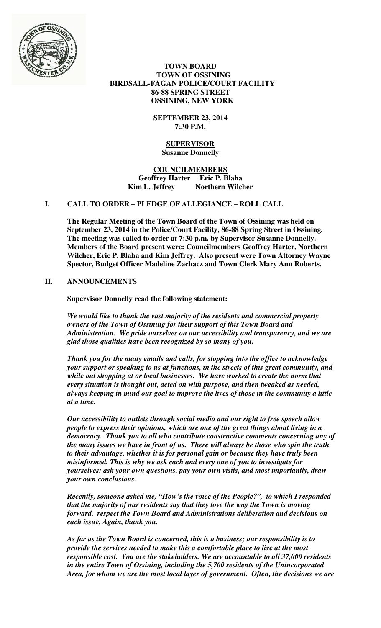

 **TOWN BOARD TOWN OF OSSINING BIRDSALL-FAGAN POLICE/COURT FACILITY 86-88 SPRING STREET OSSINING, NEW YORK** 

> **SEPTEMBER 23, 2014 7:30 P.M.**

#### **SUPERVISOR Susanne Donnelly**

**COUNCILMEMBERS Geoffrey Harter Eric P. Blaha**  Kim L. Jeffrey Northern Wilcher

## **I. CALL TO ORDER – PLEDGE OF ALLEGIANCE – ROLL CALL**

**The Regular Meeting of the Town Board of the Town of Ossining was held on September 23, 2014 in the Police/Court Facility, 86-88 Spring Street in Ossining. The meeting was called to order at 7:30 p.m. by Supervisor Susanne Donnelly. Members of the Board present were: Councilmembers Geoffrey Harter, Northern Wilcher, Eric P. Blaha and Kim Jeffrey. Also present were Town Attorney Wayne Spector, Budget Officer Madeline Zachacz and Town Clerk Mary Ann Roberts.** 

## **II. ANNOUNCEMENTS**

**Supervisor Donnelly read the following statement:** 

*We would like to thank the vast majority of the residents and commercial property owners of the Town of Ossining for their support of this Town Board and Administration. We pride ourselves on our accessibility and transparency, and we are glad those qualities have been recognized by so many of you.* 

*Thank you for the many emails and calls, for stopping into the office to acknowledge your support or speaking to us at functions, in the streets of this great community, and while out shopping at or local businesses. We have worked to create the norm that every situation is thought out, acted on with purpose, and then tweaked as needed, always keeping in mind our goal to improve the lives of those in the community a little at a time.* 

*Our accessibility to outlets through social media and our right to free speech allow people to express their opinions, which are one of the great things about living in a democracy. Thank you to all who contribute constructive comments concerning any of the many issues we have in front of us. There will always be those who spin the truth to their advantage, whether it is for personal gain or because they have truly been misinformed. This is why we ask each and every one of you to investigate for yourselves: ask your own questions, pay your own visits, and most importantly, draw your own conclusions.* 

*Recently, someone asked me, "How's the voice of the People?", to which I responded that the majority of our residents say that they love the way the Town is moving forward, respect the Town Board and Administrations deliberation and decisions on each issue. Again, thank you.* 

*As far as the Town Board is concerned, this is a business; our responsibility is to provide the services needed to make this a comfortable place to live at the most responsible cost. You are the stakeholders. We are accountable to all 37,000 residents in the entire Town of Ossining, including the 5,700 residents of the Unincorporated Area, for whom we are the most local layer of government. Often, the decisions we are*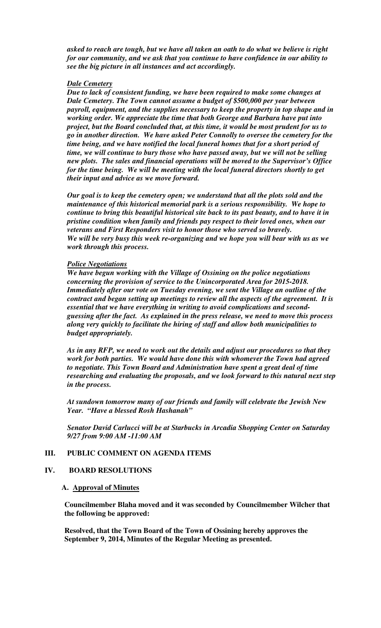*asked to reach are tough, but we have all taken an oath to do what we believe is right for our community, and we ask that you continue to have confidence in our ability to see the big picture in all instances and act accordingly.* 

### *Dale Cemetery*

*Due to lack of consistent funding, we have been required to make some changes at Dale Cemetery. The Town cannot assume a budget of \$500,000 per year between payroll, equipment, and the supplies necessary to keep the property in top shape and in working order. We appreciate the time that both George and Barbara have put into project, but the Board concluded that, at this time, it would be most prudent for us to go in another direction. We have asked Peter Connolly to oversee the cemetery for the time being, and we have notified the local funeral homes that for a short period of time, we will continue to bury those who have passed away, but we will not be selling new plots. The sales and financial operations will be moved to the Supervisor's Office for the time being. We will be meeting with the local funeral directors shortly to get their input and advice as we move forward.* 

*Our goal is to keep the cemetery open; we understand that all the plots sold and the maintenance of this historical memorial park is a serious responsibility. We hope to continue to bring this beautiful historical site back to its past beauty, and to have it in pristine condition when family and friends pay respect to their loved ones, when our veterans and First Responders visit to honor those who served so bravely. We will be very busy this week re-organizing and we hope you will bear with us as we work through this process.* 

#### *Police Negotiations*

*We have begun working with the Village of Ossining on the police negotiations concerning the provision of service to the Unincorporated Area for 2015-2018. Immediately after our vote on Tuesday evening, we sent the Village an outline of the contract and began setting up meetings to review all the aspects of the agreement. It is essential that we have everything in writing to avoid complications and secondguessing after the fact. As explained in the press release, we need to move this process along very quickly to facilitate the hiring of staff and allow both municipalities to budget appropriately.* 

*As in any RFP, we need to work out the details and adjust our procedures so that they work for both parties. We would have done this with whomever the Town had agreed to negotiate. This Town Board and Administration have spent a great deal of time researching and evaluating the proposals, and we look forward to this natural next step in the process.* 

*At sundown tomorrow many of our friends and family will celebrate the Jewish New Year. "Have a blessed Rosh Hashanah"* 

*Senator David Carlucci will be at Starbucks in Arcadia Shopping Center on Saturday 9/27 from 9:00 AM -11:00 AM* 

## **III. PUBLIC COMMENT ON AGENDA ITEMS**

#### **IV. BOARD RESOLUTIONS**

### **A. Approval of Minutes**

**Councilmember Blaha moved and it was seconded by Councilmember Wilcher that the following be approved:** 

**Resolved, that the Town Board of the Town of Ossining hereby approves the September 9, 2014, Minutes of the Regular Meeting as presented.**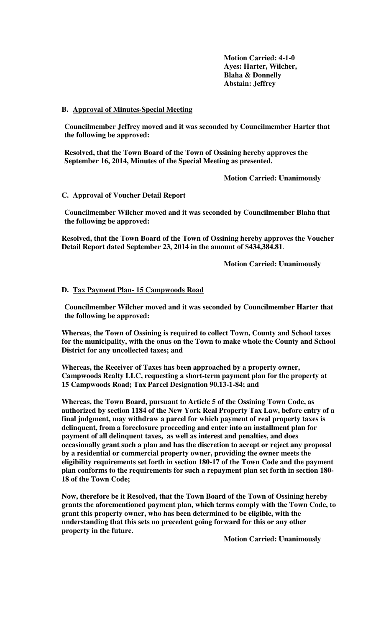**Motion Carried: 4-1-0 Ayes: Harter, Wilcher, Blaha & Donnelly Abstain: Jeffrey** 

#### **B. Approval of Minutes-Special Meeting**

**Councilmember Jeffrey moved and it was seconded by Councilmember Harter that the following be approved:** 

**Resolved, that the Town Board of the Town of Ossining hereby approves the September 16, 2014, Minutes of the Special Meeting as presented.** 

**Motion Carried: Unanimously** 

#### **C. Approval of Voucher Detail Report**

**Councilmember Wilcher moved and it was seconded by Councilmember Blaha that the following be approved:** 

**Resolved, that the Town Board of the Town of Ossining hereby approves the Voucher Detail Report dated September 23, 2014 in the amount of \$434,384.81**.

 **Motion Carried: Unanimously** 

#### **D. Tax Payment Plan- 15 Campwoods Road**

**Councilmember Wilcher moved and it was seconded by Councilmember Harter that the following be approved:** 

**Whereas, the Town of Ossining is required to collect Town, County and School taxes for the municipality, with the onus on the Town to make whole the County and School District for any uncollected taxes; and** 

**Whereas, the Receiver of Taxes has been approached by a property owner, Campwoods Realty LLC, requesting a short-term payment plan for the property at 15 Campwoods Road; Tax Parcel Designation 90.13-1-84; and** 

**Whereas, the Town Board, pursuant to Article 5 of the Ossining Town Code, as authorized by section 1184 of the New York Real Property Tax Law, before entry of a final judgment, may withdraw a parcel for which payment of real property taxes is delinquent, from a foreclosure proceeding and enter into an installment plan for payment of all delinquent taxes, as well as interest and penalties, and does occasionally grant such a plan and has the discretion to accept or reject any proposal by a residential or commercial property owner, providing the owner meets the eligibility requirements set forth in section 180-17 of the Town Code and the payment plan conforms to the requirements for such a repayment plan set forth in section 180- 18 of the Town Code;** 

**Now, therefore be it Resolved, that the Town Board of the Town of Ossining hereby grants the aforementioned payment plan, which terms comply with the Town Code, to grant this property owner, who has been determined to be eligible, with the understanding that this sets no precedent going forward for this or any other property in the future.** 

 **Motion Carried: Unanimously**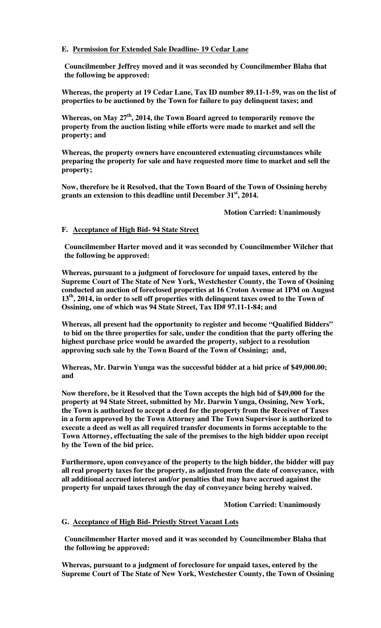## **E. Permission for Extended Sale Deadline- 19 Cedar Lane**

**Councilmember Jeffrey moved and it was seconded by Councilmember Blaha that the following be approved:** 

**Whereas, the property at 19 Cedar Lane, Tax ID number 89.11-1-59, was on the list of properties to be auctioned by the Town for failure to pay delinquent taxes; and** 

**Whereas, on May 27th, 2014, the Town Board agreed to temporarily remove the property from the auction listing while efforts were made to market and sell the property; and** 

**Whereas, the property owners have encountered extenuating circumstances while preparing the property for sale and have requested more time to market and sell the property;** 

**Now, therefore be it Resolved, that the Town Board of the Town of Ossining hereby grants an extension to this deadline until December 31st, 2014.** 

 **Motion Carried: Unanimously** 

## **F. Acceptance of High Bid- 94 State Street**

**Councilmember Harter moved and it was seconded by Councilmember Wilcher that the following be approved:** 

**Whereas, pursuant to a judgment of foreclosure for unpaid taxes, entered by the Supreme Court of The State of New York, Westchester County, the Town of Ossining conducted an auction of foreclosed properties at 16 Croton Avenue at 1PM on August 13th, 2014, in order to sell off properties with delinquent taxes owed to the Town of Ossining, one of which was 94 State Street, Tax ID# 97.11-1-84; and** 

**Whereas, all present had the opportunity to register and become "Qualified Bidders" to bid on the three properties for sale, under the condition that the party offering the highest purchase price would be awarded the property, subject to a resolution approving such sale by the Town Board of the Town of Ossining; and,** 

**Whereas, Mr. Darwin Yunga was the successful bidder at a bid price of \$49,000.00; and** 

**Now therefore, be it Resolved that the Town accepts the high bid of \$49,000 for the property at 94 State Street, submitted by Mr. Darwin Yunga, Ossining, New York, the Town is authorized to accept a deed for the property from the Receiver of Taxes in a form approved by the Town Attorney and The Town Supervisor is authorized to execute a deed as well as all required transfer documents in forms acceptable to the Town Attorney, effectuating the sale of the premises to the high bidder upon receipt by the Town of the bid price.** 

**Furthermore, upon conveyance of the property to the high bidder, the bidder will pay all real property taxes for the property, as adjusted from the date of conveyance, with all additional accrued interest and/or penalties that may have accrued against the property for unpaid taxes through the day of conveyance being hereby waived.** 

 **Motion Carried: Unanimously** 

# **G. Acceptance of High Bid- Priestly Street Vacant Lots**

**Councilmember Harter moved and it was seconded by Councilmember Blaha that the following be approved:** 

**Whereas, pursuant to a judgment of foreclosure for unpaid taxes, entered by the Supreme Court of The State of New York, Westchester County, the Town of Ossining**